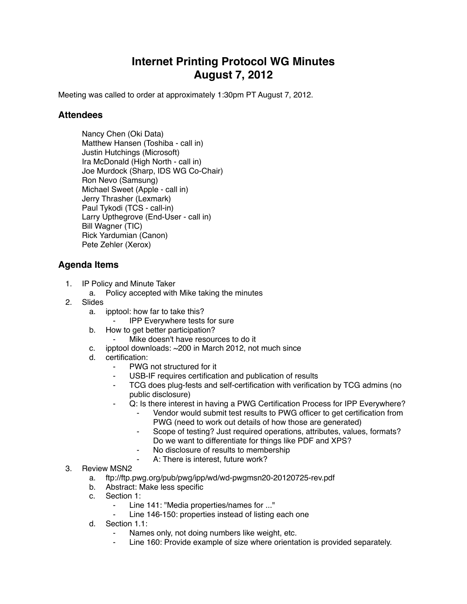## **Internet Printing Protocol WG Minutes August 7, 2012**

Meeting was called to order at approximately 1:30pm PT August 7, 2012.

## **Attendees**

Nancy Chen (Oki Data) Matthew Hansen (Toshiba - call in) Justin Hutchings (Microsoft) Ira McDonald (High North - call in) Joe Murdock (Sharp, IDS WG Co-Chair) Ron Nevo (Samsung) Michael Sweet (Apple - call in) Jerry Thrasher (Lexmark) Paul Tykodi (TCS - call-in) Larry Upthegrove (End-User - call in) Bill Wagner (TIC) Rick Yardumian (Canon) Pete Zehler (Xerox)

## **Agenda Items**

- 1. IP Policy and Minute Taker
	- a. Policy accepted with Mike taking the minutes
- 2. Slides
	- a. ipptool: how far to take this?
		- **IPP Everywhere tests for sure**
	- b. How to get better participation?
		- Mike doesn't have resources to do it
	- c. ipptool downloads: ~200 in March 2012, not much since
	- d. certification:
		- PWG not structured for it
		- ⁃ USB-IF requires certification and publication of results
		- TCG does plug-fests and self-certification with verification by TCG admins (no public disclosure)
		- Q: Is there interest in having a PWG Certification Process for IPP Everywhere?
			- Vendor would submit test results to PWG officer to get certification from PWG (need to work out details of how those are generated)
			- ⁃ Scope of testing? Just required operations, attributes, values, formats? Do we want to differentiate for things like PDF and XPS?
			- No disclosure of results to membership
			- A: There is interest, future work?
- 3. Review MSN2
	- a. ftp://ftp.pwg.org/pub/pwg/ipp/wd/wd-pwgmsn20-20120725-rev.pdf
	- b. Abstract: Make less specific
	- c. Section 1:
		- ⁃ Line 141: "Media properties/names for ..."
		- Line 146-150: properties instead of listing each one
	- d. Section 1.1:
		- Names only, not doing numbers like weight, etc.
		- Line 160: Provide example of size where orientation is provided separately.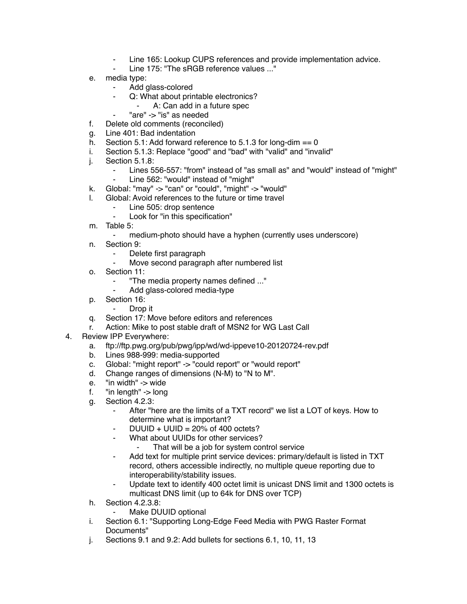- Line 165: Lookup CUPS references and provide implementation advice.
- Line 175: "The sRGB reference values ..."
- e. media type:
	- ⁃ Add glass-colored
		- Q: What about printable electronics?
			- A: Can add in a future spec
		- "are" -> "is" as needed
- f. Delete old comments (reconciled)
- g. Line 401: Bad indentation
- h. Section 5.1: Add forward reference to 5.1.3 for long-dim  $== 0$
- i. Section 5.1.3: Replace "good" and "bad" with "valid" and "invalid"
- j. Section 5.1.8:
	- Lines 556-557: "from" instead of "as small as" and "would" instead of "might"
	- ⁃ Line 562: "would" instead of "might"
- k. Global: "may" -> "can" or "could", "might" -> "would"
- l. Global: Avoid references to the future or time travel
	- ⁃ Line 505: drop sentence
		- Look for "in this specification"
- m. Table 5:
	- medium-photo should have a hyphen (currently uses underscore)
- n. Section 9:
	- ⁃ Delete first paragraph
	- Move second paragraph after numbered list
- o. Section 11:
	- ⁃ "The media property names defined ..."
	- Add glass-colored media-type
- p. Section 16:
	- ⁃ Drop it
- q. Section 17: Move before editors and references
- r. Action: Mike to post stable draft of MSN2 for WG Last Call
- 4. Review IPP Everywhere:
	- a. ftp://ftp.pwg.org/pub/pwg/ipp/wd/wd-ippeve10-20120724-rev.pdf
	- b. Lines 988-999: media-supported
	- c. Global: "might report" -> "could report" or "would report"
	- d. Change ranges of dimensions (N-M) to "N to M".
	- e. "in width" -> wide
	- f.  $\blacksquare$  "in length" -> long
	- g. Section 4.2.3:
		- After "here are the limits of a TXT record" we list a LOT of keys. How to determine what is important?
		- $DUUID + UUID = 20%$  of 400 octets?
		- What about UUIDs for other services?
			- That will be a job for system control service
		- ⁃ Add text for multiple print service devices: primary/default is listed in TXT record, others accessible indirectly, no multiple queue reporting due to interoperability/stability issues.
		- ⁃ Update text to identify 400 octet limit is unicast DNS limit and 1300 octets is multicast DNS limit (up to 64k for DNS over TCP)
	- h. Section 4.2.3.8:
		- Make DUUID optional
	- i. Section 6.1: "Supporting Long-Edge Feed Media with PWG Raster Format Documents"
	- j. Sections 9.1 and 9.2: Add bullets for sections 6.1, 10, 11, 13